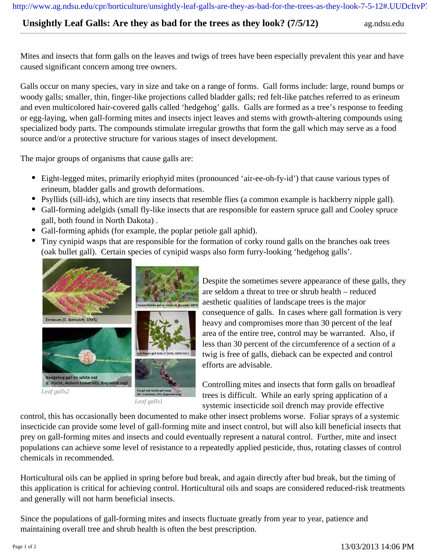http://www.ag.ndsu.edu/cpr/horticulture/unsightly-leaf-galls-are-they-as-bad-for-the-trees-as-they-look-7-5-12#.UUDcItvP

## **Unsightly Leaf Galls: Are they as bad for the trees as they look?** (7/5/12) ag.ndsu.edu

Mites and insects that form galls on the leaves and twigs of trees have been especially prevalent this year and have caused significant concern among tree owners.

Galls occur on many species, vary in size and take on a range of forms. Gall forms include: large, round bumps or woody galls; smaller, thin, finger-like projections called bladder galls; red felt-like patches referred to as erineum and even multicolored hair-covered galls called 'hedgehog' galls. Galls are formed as a tree's response to feeding or egg-laying, when gall-forming mites and insects inject leaves and stems with growth-altering compounds using specialized body parts. The compounds stimulate irregular growths that form the gall which may serve as a food source and/or a protective structure for various stages of insect development.

The major groups of organisms that cause galls are:

- Eight-legged mites, primarily eriophyid mites (pronounced 'air-ee-oh-fy-id') that cause various types of erineum, bladder galls and growth deformations.
- Psyllids (sill-ids), which are tiny insects that resemble flies (a common example is hackberry nipple gall).
- Gall-forming adelgids (small fly-like insects that are responsible for eastern spruce gall and Cooley spruce gall, both found in North Dakota) .
- Gall-forming aphids (for example, the poplar petiole gall aphid).
- $\bullet$ Tiny cynipid wasps that are responsible for the formation of corky round galls on the branches oak trees (oak bullet gall). Certain species of cynipid wasps also form furry-looking 'hedgehog galls'.



Despite the sometimes severe appearance of these galls, they are seldom a threat to tree or shrub health – reduced aesthetic qualities of landscape trees is the major consequence of galls. In cases where gall formation is very heavy and compromises more than 30 percent of the leaf area of the entire tree, control may be warranted. Also, if less than 30 percent of the circumference of a section of a twig is free of galls, dieback can be expected and control efforts are advisable.

Controlling mites and insects that form galls on broadleaf trees is difficult. While an early spring application of a systemic insecticide soil drench may provide effective

control, this has occasionally been documented to make other insect problems worse. Foliar sprays of a systemic insecticide can provide some level of gall-forming mite and insect control, but will also kill beneficial insects that prey on gall-forming mites and insects and could eventually represent a natural control. Further, mite and insect populations can achieve some level of resistance to a repeatedly applied pesticide, thus, rotating classes of control chemicals in recommended.

Horticultural oils can be applied in spring before bud break, and again directly after bud break, but the timing of this application is critical for achieving control. Horticultural oils and soaps are considered reduced-risk treatments and generally will not harm beneficial insects.

Since the populations of gall-forming mites and insects fluctuate greatly from year to year, patience and maintaining overall tree and shrub health is often the best prescription.